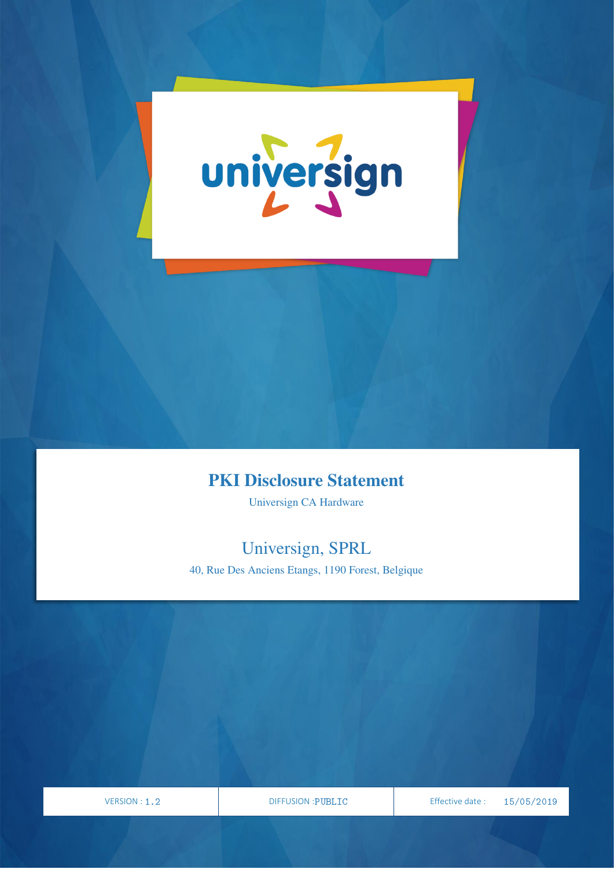

### PKI Disclosure Statement

Universign CA Hardware

## Universign, SPRL

40, Rue Des Anciens Etangs, 1190 Forest, Belgique

VERSION

VERSION : 1.2 **DIFFUSION : PUBLIC** Effective date : 03/05/2019

PAGE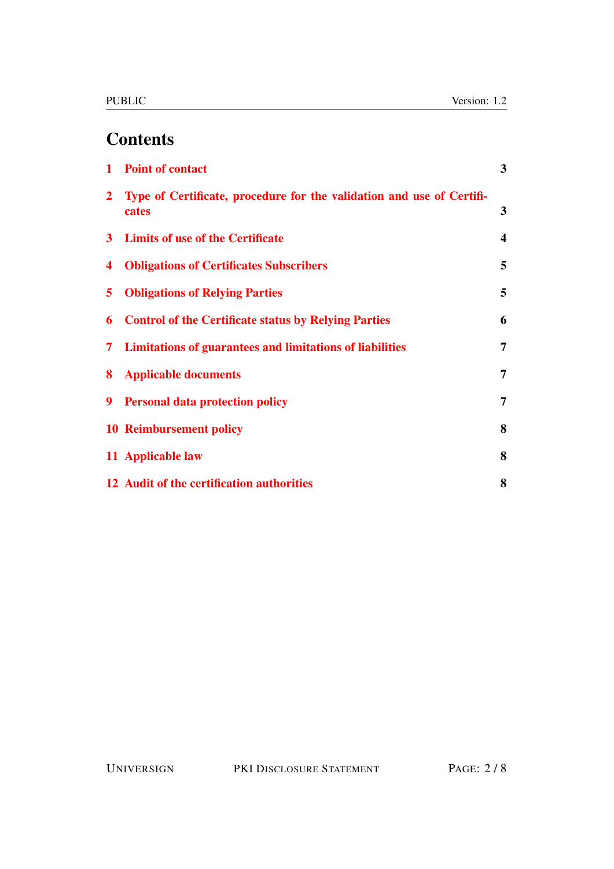# **Contents**

| $\mathbf{1}$   | <b>Point of contact</b>                                                        | $\overline{3}$          |
|----------------|--------------------------------------------------------------------------------|-------------------------|
| $\mathbf{2}$   | Type of Certificate, procedure for the validation and use of Certifi-<br>cates | $\mathbf{3}$            |
| 3 <sup>1</sup> | <b>Limits of use of the Certificate</b>                                        | $\overline{\mathbf{4}}$ |
| 4              | <b>Obligations of Certificates Subscribers</b>                                 | 5                       |
| 5              | <b>Obligations of Relying Parties</b>                                          | 5                       |
| 6              | <b>Control of the Certificate status by Relying Parties</b>                    | 6                       |
| 7              | <b>Limitations of guarantees and limitations of liabilities</b>                | 7                       |
| 8              | <b>Applicable documents</b>                                                    | 7                       |
| 9              | <b>Personal data protection policy</b>                                         | $\overline{7}$          |
|                | <b>10 Reimbursement policy</b>                                                 | 8                       |
|                | 11 Applicable law                                                              | 8                       |
|                | 12 Audit of the certification authorities                                      | 8                       |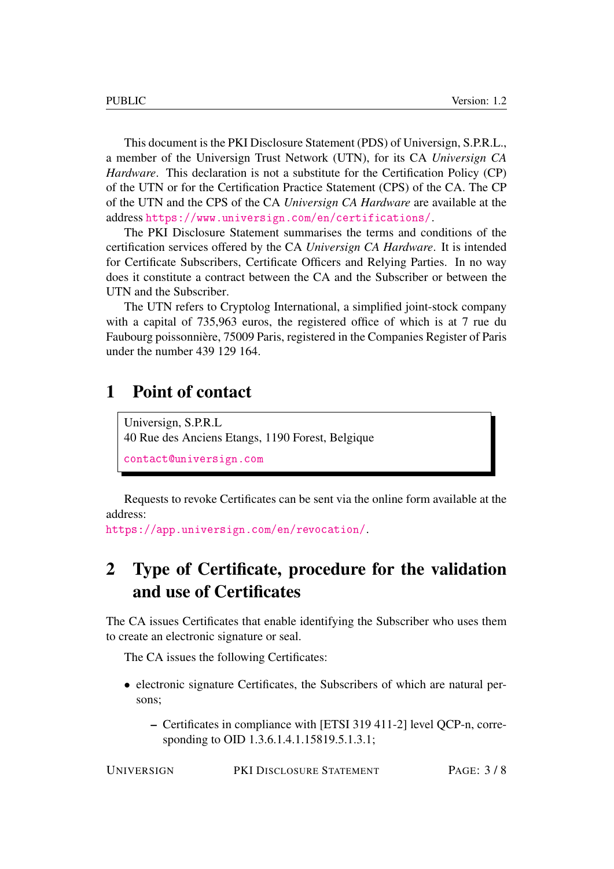This document is the PKI Disclosure Statement (PDS) of Universign, S.P.R.L., a member of the Universign Trust Network (UTN), for its CA *Universign CA Hardware*. This declaration is not a substitute for the Certification Policy (CP) of the UTN or for the Certification Practice Statement (CPS) of the CA. The CP of the UTN and the CPS of the CA *Universign CA Hardware* are available at the address <https://www.universign.com/en/certifications/>.

The PKI Disclosure Statement summarises the terms and conditions of the certification services offered by the CA *Universign CA Hardware*. It is intended for Certificate Subscribers, Certificate Officers and Relying Parties. In no way does it constitute a contract between the CA and the Subscriber or between the UTN and the Subscriber.

The UTN refers to Cryptolog International, a simplified joint-stock company with a capital of 735,963 euros, the registered office of which is at 7 rue du Faubourg poissonnière, 75009 Paris, registered in the Companies Register of Paris under the number 439 129 164.

#### <span id="page-2-0"></span>1 Point of contact

Universign, S.P.R.L 40 Rue des Anciens Etangs, 1190 Forest, Belgique <contact@universign.com>

Requests to revoke Certificates can be sent via the online form available at the address:

<https://app.universign.com/en/revocation/>.

### <span id="page-2-1"></span>2 Type of Certificate, procedure for the validation and use of Certificates

The CA issues Certificates that enable identifying the Subscriber who uses them to create an electronic signature or seal.

The CA issues the following Certificates:

- electronic signature Certificates, the Subscribers of which are natural persons;
	- Certificates in compliance with [ETSI 319 411-2] level QCP-n, corresponding to OID 1.3.6.1.4.1.15819.5.1.3.1;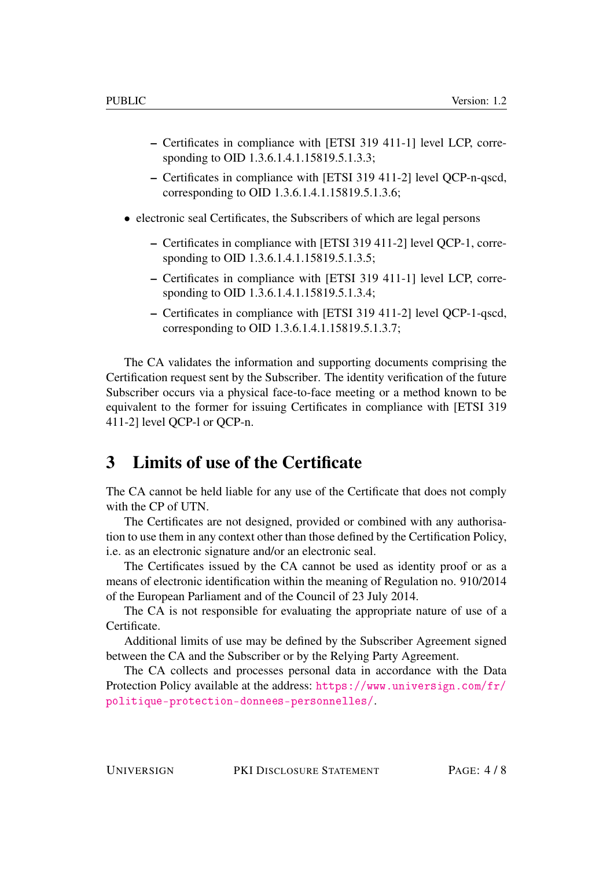- Certificates in compliance with [ETSI 319 411-1] level LCP, corresponding to OID 1.3.6.1.4.1.15819.5.1.3.3;
- Certificates in compliance with [ETSI 319 411-2] level QCP-n-qscd, corresponding to OID 1.3.6.1.4.1.15819.5.1.3.6;
- electronic seal Certificates, the Subscribers of which are legal persons
	- Certificates in compliance with [ETSI 319 411-2] level QCP-1, corresponding to OID 1.3.6.1.4.1.15819.5.1.3.5;
	- Certificates in compliance with [ETSI 319 411-1] level LCP, corresponding to OID 1.3.6.1.4.1.15819.5.1.3.4;
	- Certificates in compliance with [ETSI 319 411-2] level QCP-1-qscd, corresponding to OID 1.3.6.1.4.1.15819.5.1.3.7;

The CA validates the information and supporting documents comprising the Certification request sent by the Subscriber. The identity verification of the future Subscriber occurs via a physical face-to-face meeting or a method known to be equivalent to the former for issuing Certificates in compliance with [ETSI 319 411-2] level QCP-l or QCP-n.

#### <span id="page-3-0"></span>3 Limits of use of the Certificate

The CA cannot be held liable for any use of the Certificate that does not comply with the CP of UTN.

The Certificates are not designed, provided or combined with any authorisation to use them in any context other than those defined by the Certification Policy, i.e. as an electronic signature and/or an electronic seal.

The Certificates issued by the CA cannot be used as identity proof or as a means of electronic identification within the meaning of Regulation no. 910/2014 of the European Parliament and of the Council of 23 July 2014.

The CA is not responsible for evaluating the appropriate nature of use of a Certificate.

Additional limits of use may be defined by the Subscriber Agreement signed between the CA and the Subscriber or by the Relying Party Agreement.

The CA collects and processes personal data in accordance with the Data Protection Policy available at the address: [https://www.universign.com/fr/](https://www.universign.com/fr/politique-protection-donnees-personnelles/) [politique-protection-donnees-personnelles/](https://www.universign.com/fr/politique-protection-donnees-personnelles/).

UNIVERSIGN PKI DISCLOSURE STATEMENT PAGE: 4 / 8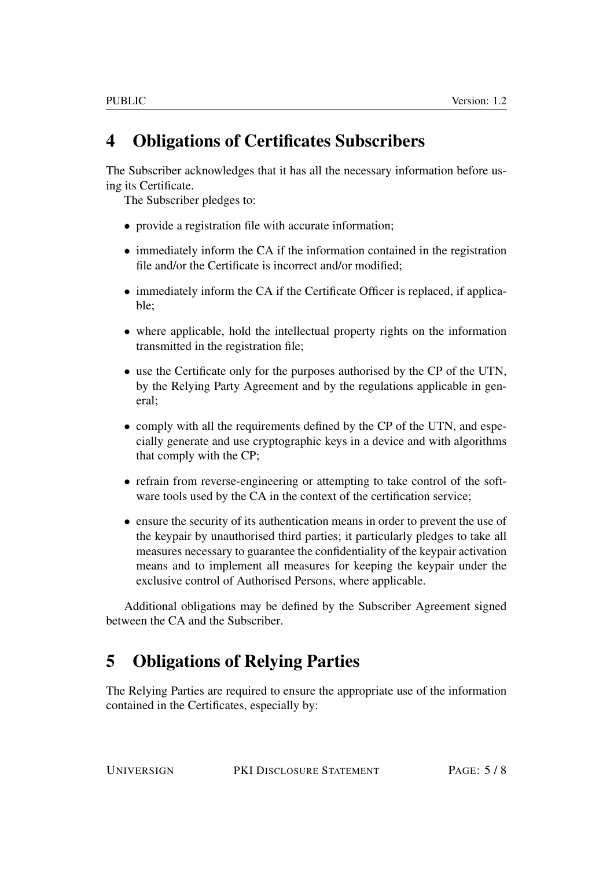## <span id="page-4-0"></span>4 Obligations of Certificates Subscribers

The Subscriber acknowledges that it has all the necessary information before using its Certificate.

The Subscriber pledges to:

- provide a registration file with accurate information;
- immediately inform the CA if the information contained in the registration file and/or the Certificate is incorrect and/or modified;
- immediately inform the CA if the Certificate Officer is replaced, if applicable;
- where applicable, hold the intellectual property rights on the information transmitted in the registration file;
- use the Certificate only for the purposes authorised by the CP of the UTN, by the Relying Party Agreement and by the regulations applicable in general;
- comply with all the requirements defined by the CP of the UTN, and especially generate and use cryptographic keys in a device and with algorithms that comply with the CP;
- refrain from reverse-engineering or attempting to take control of the software tools used by the CA in the context of the certification service;
- ensure the security of its authentication means in order to prevent the use of the keypair by unauthorised third parties; it particularly pledges to take all measures necessary to guarantee the confidentiality of the keypair activation means and to implement all measures for keeping the keypair under the exclusive control of Authorised Persons, where applicable.

Additional obligations may be defined by the Subscriber Agreement signed between the CA and the Subscriber.

## <span id="page-4-1"></span>5 Obligations of Relying Parties

The Relying Parties are required to ensure the appropriate use of the information contained in the Certificates, especially by: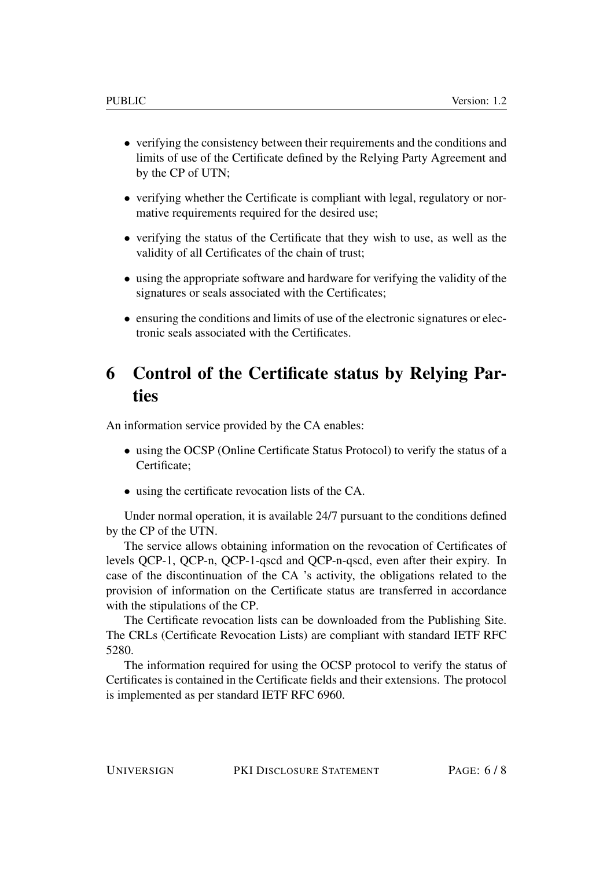- verifying the consistency between their requirements and the conditions and limits of use of the Certificate defined by the Relying Party Agreement and by the CP of UTN;
- verifying whether the Certificate is compliant with legal, regulatory or normative requirements required for the desired use;
- verifying the status of the Certificate that they wish to use, as well as the validity of all Certificates of the chain of trust;
- using the appropriate software and hardware for verifying the validity of the signatures or seals associated with the Certificates;
- ensuring the conditions and limits of use of the electronic signatures or electronic seals associated with the Certificates.

### <span id="page-5-0"></span>6 Control of the Certificate status by Relying Parties

An information service provided by the CA enables:

- using the OCSP (Online Certificate Status Protocol) to verify the status of a Certificate;
- using the certificate revocation lists of the CA.

Under normal operation, it is available 24/7 pursuant to the conditions defined by the CP of the UTN.

The service allows obtaining information on the revocation of Certificates of levels QCP-1, QCP-n, QCP-1-qscd and QCP-n-qscd, even after their expiry. In case of the discontinuation of the CA 's activity, the obligations related to the provision of information on the Certificate status are transferred in accordance with the stipulations of the CP.

The Certificate revocation lists can be downloaded from the Publishing Site. The CRLs (Certificate Revocation Lists) are compliant with standard IETF RFC 5280.

The information required for using the OCSP protocol to verify the status of Certificates is contained in the Certificate fields and their extensions. The protocol is implemented as per standard IETF RFC 6960.

UNIVERSIGN PKI DISCLOSURE STATEMENT PAGE: 6 / 8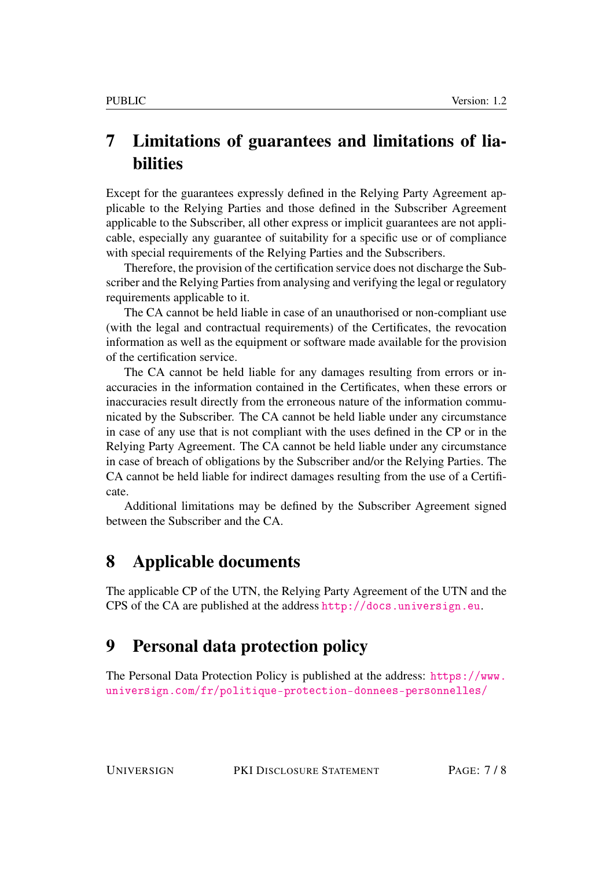## <span id="page-6-0"></span>7 Limitations of guarantees and limitations of liabilities

Except for the guarantees expressly defined in the Relying Party Agreement applicable to the Relying Parties and those defined in the Subscriber Agreement applicable to the Subscriber, all other express or implicit guarantees are not applicable, especially any guarantee of suitability for a specific use or of compliance with special requirements of the Relying Parties and the Subscribers.

Therefore, the provision of the certification service does not discharge the Subscriber and the Relying Parties from analysing and verifying the legal or regulatory requirements applicable to it.

The CA cannot be held liable in case of an unauthorised or non-compliant use (with the legal and contractual requirements) of the Certificates, the revocation information as well as the equipment or software made available for the provision of the certification service.

The CA cannot be held liable for any damages resulting from errors or inaccuracies in the information contained in the Certificates, when these errors or inaccuracies result directly from the erroneous nature of the information communicated by the Subscriber. The CA cannot be held liable under any circumstance in case of any use that is not compliant with the uses defined in the CP or in the Relying Party Agreement. The CA cannot be held liable under any circumstance in case of breach of obligations by the Subscriber and/or the Relying Parties. The CA cannot be held liable for indirect damages resulting from the use of a Certificate.

Additional limitations may be defined by the Subscriber Agreement signed between the Subscriber and the CA.

#### <span id="page-6-1"></span>8 Applicable documents

The applicable CP of the UTN, the Relying Party Agreement of the UTN and the CPS of the CA are published at the address <http://docs.universign.eu>.

#### <span id="page-6-2"></span>9 Personal data protection policy

The Personal Data Protection Policy is published at the address: [https://www.](https://www.universign.com/fr/politique-protection-donnees-personnelles/) [universign.com/fr/politique-protection-donnees-personnelles/](https://www.universign.com/fr/politique-protection-donnees-personnelles/)

UNIVERSIGN PKI DISCLOSURE STATEMENT PAGE: 7 / 8